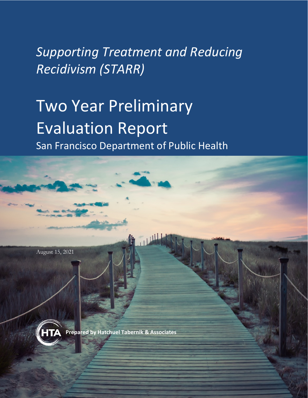# *Supporting Treatment and Reducing Recidivism (STARR)*

# Two Year Preliminary Evaluation Report

San Francisco Department of Public Health



.



**Prepared by Hatchuel Tabernik & Associates** 

**Prepared by** Hatchuel Tabernik and Associates Page | i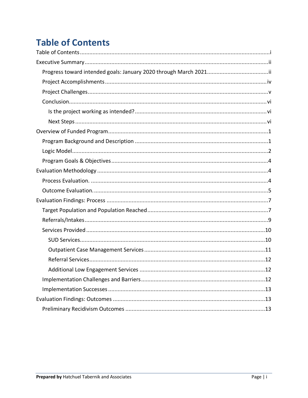# **Table of Contents**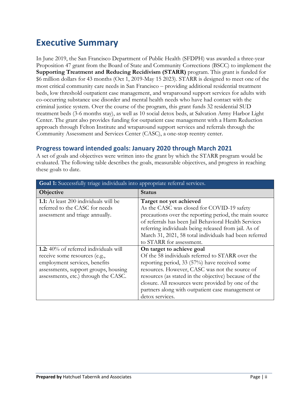# **Executive Summary**

In June 2019, the San Francisco Department of Public Health (SFDPH) was awarded a three-year Proposition 47 grant from the Board of State and Community Corrections (BSCC) to implement the **Supporting Treatment and Reducing Recidivism (STARR)** program. This grant is funded for \$6 million dollars for 43 months (Oct 1, 2019-May 15 2023). STARR is designed to meet one of the most critical community care needs in San Francisco ‒ providing additional residential treatment beds, low threshold outpatient case management, and wraparound support services for adults with co-occurring substance use disorder and mental health needs who have had contact with the criminal justice system. Over the course of the program, this grant funds 32 residential SUD treatment beds (3-6 months stay), as well as 10 social detox beds, at Salvation Army Harbor Light Center. The grant also provides funding for outpatient case management with a Harm Reduction approach through Felton Institute and wraparound support services and referrals through the Community Assessment and Services Center (CASC), a one-stop reentry center.

#### **Progress toward intended goals: January 2020 through March 2021**

A set of goals and objectives were written into the grant by which the STARR program would be evaluated. The following table describes the goals, measurable objectives, and progress in reaching these goals to date.

| Goal 1: Successfully triage individuals into appropriate referral services.                                                                                                                    |                                                                                                                                                                                                                                                                                                                                                                         |  |  |  |  |
|------------------------------------------------------------------------------------------------------------------------------------------------------------------------------------------------|-------------------------------------------------------------------------------------------------------------------------------------------------------------------------------------------------------------------------------------------------------------------------------------------------------------------------------------------------------------------------|--|--|--|--|
| Objective                                                                                                                                                                                      | Status                                                                                                                                                                                                                                                                                                                                                                  |  |  |  |  |
| 1.1: At least 200 individuals will be<br>referred to the CASC for needs<br>assessment and triage annually.                                                                                     | Target not yet achieved<br>As the CASC was closed for COVID-19 safety<br>precautions over the reporting period, the main source<br>of referrals has been Jail Behavioral Health Services<br>referring individuals being released from jail. As of<br>March 31, 2021, 58 total individuals had been referred<br>to STARR for assessment.                                 |  |  |  |  |
| <b>1.2:</b> 40% of referred individuals will<br>receive some resources (e.g.,<br>employment services, benefits<br>assessments, support groups, housing<br>assessments, etc.) through the CASC. | On target to achieve goal<br>Of the 58 individuals referred to STARR over the<br>reporting period, 33 (57%) have received some<br>resources. However, CASC was not the source of<br>resources (as stated in the objective) because of the<br>closure. All resources were provided by one of the<br>partners along with outpatient case management or<br>detox services. |  |  |  |  |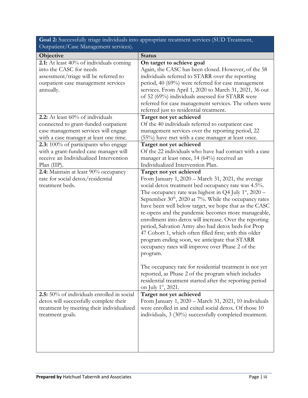| <b>Goal 2:</b> Successfully triage individuals into appropriate treatment services (SUD Treatment, |  |
|----------------------------------------------------------------------------------------------------|--|
| Outpatient/Case Management services).                                                              |  |

| Objective                                  | <b>Status</b>                                            |
|--------------------------------------------|----------------------------------------------------------|
| 2.1: At least 40% of individuals coming    | On target to achieve goal                                |
| into the CASC for needs                    | Again, the CASC has been closed. However, of the 58      |
| assessment/triage will be referred to      | individuals referred to STARR over the reporting         |
| outpatient case management services        | period, 40 (69%) were referred for case management       |
| annually.                                  | services. From April 1, 2020 to March 31, 2021, 36 out   |
|                                            | of 52 (69%) individuals assessed for STARR were          |
|                                            | referred for case management services. The others were   |
|                                            | referred just to residential treatment.                  |
| 2.2: At least 60% of individuals           | Target not yet achieved                                  |
| connected to grant-funded outpatient       | Of the 40 individuals referred to outpatient case        |
| case management services will engage       | management services over the reporting period, 22        |
| with a case manager at least one time.     | (55%) have met with a case manager at least once.        |
| 2.3: 100% of participants who engage       | Target not yet achieved                                  |
| with a grant-funded case manager will      | Of the 22 individuals who have had contact with a case   |
| receive an Individualized Intervention     | manager at least once, 14 (64%) received an              |
| $Plan$ (IIP).                              | Individualized Intervention Plan.                        |
| 2.4: Maintain at least 90% occupancy       | Target not yet achieved                                  |
| rate for social detox/residential          | From January 1, 2020 - March 31, 2021, the average       |
| treatment beds.                            | social detox treatment bed occupancy rate was 4.5%.      |
|                                            | The occupancy rate was highest in Q4 July $1st$ , 2020 – |
|                                            | September $30th$ , 2020 at 7%. While the occupancy rates |
|                                            | have been well below target, we hope that as the CASC    |
|                                            | re-opens and the pandemic becomes more manageable,       |
|                                            | enrollment into detox will increase. Over the reporting  |
|                                            | period, Salvation Army also had detox beds for Prop      |
|                                            | 47 Cohort 1, which often filled first; with this older   |
|                                            | program ending soon, we anticipate that STARR            |
|                                            | occupancy rates will improve over Phase 2 of the         |
|                                            | program.                                                 |
|                                            |                                                          |
|                                            | The occupancy rate for residential treatment is not yet  |
|                                            | reported, as Phase 2 of the program which includes       |
|                                            | residential treatment started after the reporting period |
|                                            | on July 1 <sup>st</sup> , 2021.                          |
| 2.5: 50% of individuals enrolled in social | Target not yet achieved                                  |
| detox will successfully complete their     | From January 1, 2020 - March 31, 2021, 10 individuals    |
| treatment by meeting their individualized  | were enrolled in and exited social detox. Of those 10    |
| treatment goals.                           | individuals, 3 (30%) successfully completed treatment.   |
|                                            |                                                          |
|                                            |                                                          |
|                                            |                                                          |
|                                            |                                                          |
|                                            |                                                          |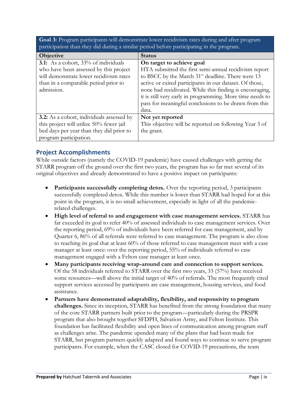**Goal 3:** Program participants will demonstrate lower recidivism rates during and after program participation than they did during a similar period before participating in the program.

| Objective                                        | <b>Status</b>                                                 |
|--------------------------------------------------|---------------------------------------------------------------|
| <b>3.1:</b> As a cohort, 33% of individuals      | On target to achieve goal                                     |
| who have been assessed by this project           | HTA submitted the first semi-annual recidivism report         |
| will demonstrate lower recidivism rates          | to BSCC by the March 31 <sup>st</sup> deadline. There were 13 |
| than in a comparable period prior to             | active or exited participants in our dataset. Of those,       |
| admission.                                       | none had recidivated. While this finding is encouraging,      |
|                                                  | it is still very early in programming. More time needs to     |
|                                                  | pass for meaningful conclusions to be drawn from this         |
|                                                  | data.                                                         |
| <b>3.2:</b> As a cohort, individuals assessed by | Not yet reported                                              |
| this project will utilize 50% fewer jail         | This objective will be reported on following Year 3 of        |
| bed days per year than they did prior to         | the grant.                                                    |
| program participation.                           |                                                               |

## **Project Accomplishments**

While outside factors (namely the COVID-19 pandemic) have caused challenges with getting the STARR program off the ground over the first two years, the program has so far met several of its original objectives and already demonstrated to have a positive impact on participants:

- Participants successfully completing detox. Over the reporting period, 3 participants successfully completed detox. While this number is lower than STARR had hoped for at this point in the program, it is no small achievement, especially in light of all the pandemicrelated challenges.
- **High level of referral to and engagement with case management services.** STARR has far exceeded its goal to refer 40% of assessed individuals to case management services. Over the reporting period, 69% of individuals have been referred for case management, and by Quarter 6, 86% of all referrals were referred to case management. The program is also close to reaching its goal that at least 60% of those referred to case management meet with a case manager at least once: over the reporting period, 55% of individuals referred to case management engaged with a Felton case manager at least once.
- **Many participants receiving wrap-around care and connection to support services.**  Of the 58 individuals referred to STARR over the first two years, 33 (57%) have received some resources—well above the initial target of 40% of referrals. The most frequently cited support services accessed by participants are case management, housing services, and food assistance.
- **Partners have demonstrated adaptability, flexibility, and responsivity to program challenges.** Since its inception, STARR has benefited from the strong foundation that many of the core STARR partners built prior to the program—particularly during the PRSPR program that also brought together SFDPH, Salvation Army, and Felton Institute. This foundation has facilitated flexibility and open lines of communication among program staff as challenges arise. The pandemic upended many of the plans that had been made for STARR, but program partners quickly adapted and found ways to continue to serve program participants. For example, when the CASC closed for COVID-19 precautions, the team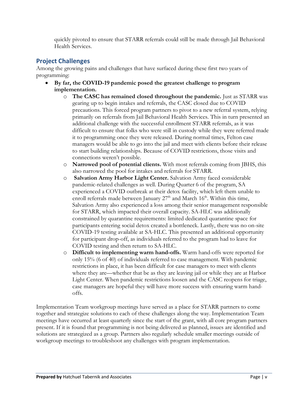quickly pivoted to ensure that STARR referrals could still be made through Jail Behavioral Health Services.

## **Project Challenges**

Among the growing pains and challenges that have surfaced during these first two years of programming:

- **By far, the COVID-19 pandemic posed the greatest challenge to program implementation.**
	- o **The CASC has remained closed throughout the pandemic.** Just as STARR was gearing up to begin intakes and referrals, the CASC closed due to COVID precautions. This forced program partners to pivot to a new referral system, relying primarily on referrals from Jail Behavioral Health Services. This in turn presented an additional challenge with the successful enrollment STARR referrals, as it was difficult to ensure that folks who were still in custody while they were referred made it to programming once they were released. During normal times, Felton case managers would be able to go into the jail and meet with clients before their release to start building relationships. Because of COVID restrictions, those visits and connections weren't possible.
	- o **Narrowed pool of potential clients.** With most referrals coming from JBHS, this also narrowed the pool for intakes and referrals for STARR.
	- o **Salvation Army Harbor Light Center.** Salvation Army faced considerable pandemic-related challenges as well. During Quarter 6 of the program, SA experienced a COVID outbreak at their detox facility, which left them unable to enroll referrals made between January  $27<sup>th</sup>$  and March  $16<sup>th</sup>$ . Within this time, Salvation Army also experienced a loss among their senior management responsible for STARR, which impacted their overall capacity. SA-HLC was additionally constrained by quarantine requirements: limited dedicated quarantine space for participants entering social detox created a bottleneck. Lastly, there was no on-site COVID-19 testing available at SA-HLC. This presented an additional opportunity for participant drop-off, as individuals referred to the program had to leave for COVID testing and then return to SA-HLC.
	- o **Difficult to implementing warm hand-offs.** Warm hand-offs were reported for only 15% (6 of 40) of individuals referred to case management. With pandemic restrictions in place, it has been difficult for case managers to meet with clients where they are—whether that be as they are leaving jail or while they are at Harbor Light Center. When pandemic restrictions loosen and the CASC reopens for triage, case managers are hopeful they will have more success with ensuring warm handoffs.

Implementation Team workgroup meetings have served as a place for STARR partners to come together and strategize solutions to each of these challenges along the way. Implementation Team meetings have occurred at least quarterly since the start of the grant, with all core program partners present. If it is found that programming is not being delivered as planned, issues are identified and solutions are strategized as a group. Partners also regularly schedule smaller meetings outside of workgroup meetings to troubleshoot any challenges with program implementation.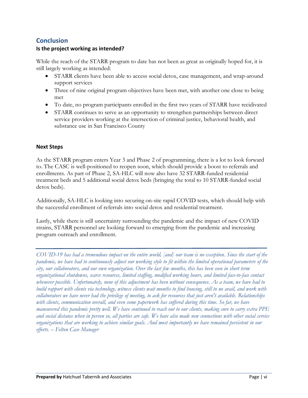# **Conclusion**

#### **Is the project working as intended?**

While the reach of the STARR program to date has not been as great as originally hoped for, it is still largely working as intended:

- STARR clients have been able to access social detox, case management, and wrap-around support services
- Three of nine original program objectives have been met, with another one close to being met
- To date, no program participants enrolled in the first two years of STARR have recidivated
- STARR continues to serve as an opportunity to strengthen partnerships between direct service providers working at the intersection of criminal justice, behavioral health, and substance use in San Francisco County

#### **Next Steps**

As the STARR program enters Year 3 and Phase 2 of programming, there is a lot to look forward to. The CASC is well-positioned to reopen soon, which should provide a boost to referrals and enrollments. As part of Phase 2, SA-HLC will now also have 32 STARR-funded residential treatment beds and 5 additional social detox beds (bringing the total to 10 STARR-funded social detox beds).

Additionally, SA-HLC is looking into securing on-site rapid COVID tests, which should help with the successful enrollment of referrals into social detox and residential treatment.

Lastly, while there is still uncertainty surrounding the pandemic and the impact of new COVID strains, STARR personnel are looking forward to emerging from the pandemic and increasing program outreach and enrollment.

*COVID-19 has had a tremendous impact on the entire world, [and] our team is no exception. Since the start of the pandemic, we have had to continuously adjust our working style to fit within the limited operational parameters of the city, our collaborators, and our own organization. Over the last few months, this has been seen in short term organizational shutdowns, scarce resources, limited staffing, modified working hours, and limited face-to-face contact whenever possible. Unfortunately, none of this adjustment has been without consequence. As a team, we have had to build rapport with clients via technology, witness clients wait months to find housing, still to no avail, and work with collaborators we have never had the privilege of meeting, to ask for resources that just aren't available. Relationships*  with clients, communication overall, and even some paperwork has suffered during this time. So far, we have *maneuvered this pandemic pretty well. We have continued to reach out to our clients, making sure to carry extra PPE and social distance when in person so, all parties are safe. We have also made new connections with other social service organizations that are working to achieve similar goals. And most importantly we have remained persistent in our efforts. – Felton Case Manager*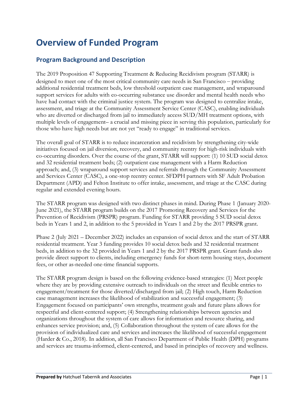# **Overview of Funded Program**

## **Program Background and Description**

The 2019 Proposition 47 Supporting Treatment & Reducing Recidivism program (STARR) is designed to meet one of the most critical community care needs in San Francisco – providing additional residential treatment beds, low threshold outpatient case management, and wraparound support services for adults with co-occurring substance use disorder and mental health needs who have had contact with the criminal justice system. The program was designed to centralize intake, assessment, and triage at the Community Assessment Service Center (CASC), enabling individuals who are diverted or discharged from jail to immediately access SUD/MH treatment options, with multiple levels of engagement– a crucial and missing piece in serving this population, particularly for those who have high needs but are not yet "ready to engage" in traditional services.

The overall goal of STARR is to reduce incarceration and recidivism by strengthening city-wide initiatives focused on jail diversion, recovery, and community reentry for high-risk individuals with co-occurring disorders. Over the course of the grant, STARR will support: (1) 10 SUD social detox and 32 residential treatment beds; (2) outpatient case management with a Harm Reduction approach; and, (3) wraparound support services and referrals through the Community Assessment and Services Center (CASC), a one-stop reentry center. SFDPH partners with SF Adult Probation Department (APD) and Felton Institute to offer intake, assessment, and triage at the CASC during regular and extended evening hours.

The STARR program was designed with two distinct phases in mind. During Phase 1 (January 2020- June 2021), the STARR program builds on the 2017 Promoting Recovery and Services for the Prevention of Recidivism (PRSPR) program. Funding for STARR providing 5 SUD social detox beds in Years 1 and 2, in addition to the 5 provided in Years 1 and 2 by the 2017 PRSPR grant.

Phase 2 (July 2021 – December 2022) includes an expansion of social detox and the start of STARR residential treatment. Year 3 funding provides 10 social detox beds and 32 residential treatment beds, in addition to the 32 provided in Years 1 and 2 by the 2017 PRSPR grant. Grant funds also provide direct support to clients, including emergency funds for short-term housing stays, document fees, or other as-needed one-time financial supports.

The STARR program design is based on the following evidence-based strategies: (1) Meet people where they are by providing extensive outreach to individuals on the street and flexible entries to engagement/treatment for those diverted/discharged from jail; (2) High touch, Harm Reduction case management increases the likelihood of stabilization and successful engagement; (3) Engagement focused on participants' own strengths, treatment goals and future plans allows for respectful and client-centered support; (4) Strengthening relationships between agencies and organizations throughout the system of care allows for information and resource sharing, and enhances service provision; and, (5) Collaboration throughout the system of care allows for the provision of individualized care and services and increases the likelihood of successful engagement (Harder & Co., 2018). In addition, all San Francisco Department of Public Health (DPH) programs and services are trauma-informed, client-centered, and based in principles of recovery and wellness.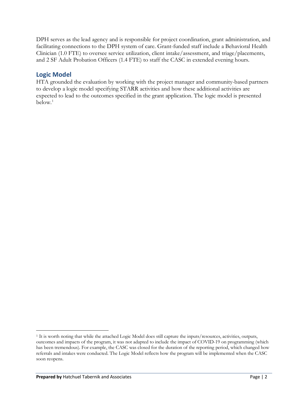DPH serves as the lead agency and is responsible for project coordination, grant administration, and facilitating connections to the DPH system of care. Grant-funded staff include a Behavioral Health Clinician (1.0 FTE) to oversee service utilization, client intake/assessment, and triage/placements, and 2 SF Adult Probation Officers (1.4 FTE) to staff the CASC in extended evening hours.

## **Logic Model**

HTA grounded the evaluation by working with the project manager and community-based partners to develop a logic model specifying STARR activities and how these additional activities are expected to lead to the outcomes specified in the grant application. The logic model is presented below. [1](#page-8-0)

<span id="page-8-0"></span><sup>1</sup> It is worth noting that while the attached Logic Model does still capture the inputs/resources, activities, outputs, outcomes and impacts of the program, it was not adapted to include the impact of COVID-19 on programming (which has been tremendous). For example, the CASC was closed for the duration of the reporting period, which changed how referrals and intakes were conducted. The Logic Model reflects how the program will be implemented when the CASC soon reopens.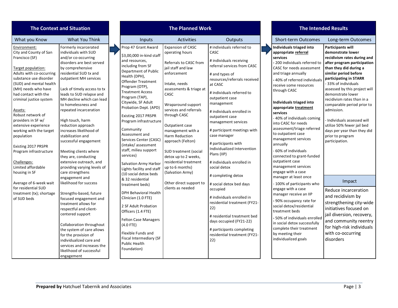|                                                                                                                                                                                                                                                                                                                                                                                                                                                                                                                                                                     | <b>The Context and Situation</b>                                                                                                                                                                                                                                                                                                                                                                                                                                                                                                                                                                                                                                                                                                                                                                                                                                                                                                | <b>The Planned Work</b>                                                                                                                                                                                                                                                                                                                                                                                                                                                                                                                                                                                                                                                                                                                                                                                           |                                                                                                                                                                                                                                                                                                                                                                                                                                                                                |                                                                                                                                                                                                                                                                                                                                                                                                                                                                                                                                                                                                                                                                                                                               |                                                                                                                                                                                                                                                                                                                                                                                                                                                                                                                                                                                                                                                                                                                                                                                                                                                                                   | <b>The Intended Results</b>                                                                                                                                                                                                                                                                                                                                                                                                                                                                                                                                                                                                                                                                                       |
|---------------------------------------------------------------------------------------------------------------------------------------------------------------------------------------------------------------------------------------------------------------------------------------------------------------------------------------------------------------------------------------------------------------------------------------------------------------------------------------------------------------------------------------------------------------------|---------------------------------------------------------------------------------------------------------------------------------------------------------------------------------------------------------------------------------------------------------------------------------------------------------------------------------------------------------------------------------------------------------------------------------------------------------------------------------------------------------------------------------------------------------------------------------------------------------------------------------------------------------------------------------------------------------------------------------------------------------------------------------------------------------------------------------------------------------------------------------------------------------------------------------|-------------------------------------------------------------------------------------------------------------------------------------------------------------------------------------------------------------------------------------------------------------------------------------------------------------------------------------------------------------------------------------------------------------------------------------------------------------------------------------------------------------------------------------------------------------------------------------------------------------------------------------------------------------------------------------------------------------------------------------------------------------------------------------------------------------------|--------------------------------------------------------------------------------------------------------------------------------------------------------------------------------------------------------------------------------------------------------------------------------------------------------------------------------------------------------------------------------------------------------------------------------------------------------------------------------|-------------------------------------------------------------------------------------------------------------------------------------------------------------------------------------------------------------------------------------------------------------------------------------------------------------------------------------------------------------------------------------------------------------------------------------------------------------------------------------------------------------------------------------------------------------------------------------------------------------------------------------------------------------------------------------------------------------------------------|-----------------------------------------------------------------------------------------------------------------------------------------------------------------------------------------------------------------------------------------------------------------------------------------------------------------------------------------------------------------------------------------------------------------------------------------------------------------------------------------------------------------------------------------------------------------------------------------------------------------------------------------------------------------------------------------------------------------------------------------------------------------------------------------------------------------------------------------------------------------------------------|-------------------------------------------------------------------------------------------------------------------------------------------------------------------------------------------------------------------------------------------------------------------------------------------------------------------------------------------------------------------------------------------------------------------------------------------------------------------------------------------------------------------------------------------------------------------------------------------------------------------------------------------------------------------------------------------------------------------|
| What you Know                                                                                                                                                                                                                                                                                                                                                                                                                                                                                                                                                       | What You Think                                                                                                                                                                                                                                                                                                                                                                                                                                                                                                                                                                                                                                                                                                                                                                                                                                                                                                                  | Inputs                                                                                                                                                                                                                                                                                                                                                                                                                                                                                                                                                                                                                                                                                                                                                                                                            | Activities                                                                                                                                                                                                                                                                                                                                                                                                                                                                     | Outputs                                                                                                                                                                                                                                                                                                                                                                                                                                                                                                                                                                                                                                                                                                                       | <b>Short-term Outcomes</b>                                                                                                                                                                                                                                                                                                                                                                                                                                                                                                                                                                                                                                                                                                                                                                                                                                                        | Long-term Outcomes                                                                                                                                                                                                                                                                                                                                                                                                                                                                                                                                                                                                                                                                                                |
| Environment:<br>City and County of San<br>Francisco (SF)<br>Target population:<br>Adults with co-occurring<br>substance use disorder<br>(SUD) and mental health<br>(MH) needs who have<br>had contact with the<br>criminal justice system<br>Assets:<br>Robust network of<br>providers in SF w/<br>extensive experience<br>working with the target<br>population<br>Existing 2017 PRSPR<br>Program infrastructure<br>Challenges:<br>Limited affordable<br>housing in SF<br>Average of 6-week wait<br>for residential SUD<br>treatment (tx); shortage<br>of SUD beds | Formerly incarcerated<br>individuals with SUD<br>and/or co-occurring<br>disorders are best served<br>by comprehensive<br>residential SUD tx and<br>outpatient MH services<br>Lack of timely access to tx<br>leads to SUD relapse and<br>MH decline which can lead<br>to homelessness and<br>repeated incarceration<br>High touch, harm<br>reduction approach<br>increases likelihood of<br>stabilization and<br>successful engagement<br>Meeting clients where<br>they are, conducting<br>extensive outreach, and<br>providing varying levels of<br>care strengthens<br>engagement and<br>likelihood for success<br>Strengths-based, future<br>focused engagement and<br>treatment allows for<br>respectful and client-<br>centered support<br>Collaboration throughout<br>the system of care allows<br>for the provision of<br>individualized care and<br>services and increases the<br>likelihood of successful<br>engagement | Prop 47 Grant Award<br>\$3,00,000 in-kind staff<br>and resources,<br>including from SF<br>Department of Public<br>Health (DPH),<br>Offender Treatment<br>Program (OTP),<br><b>Treatment Access</b><br>Program (TAP),<br>Citywide, SF Adult<br>Probation Dept. (APD)<br>Existing 2017 PRSPR<br>Program infrastructure<br>Community<br>Assessment and<br>Services Center (CASC)<br>(intake/assessment<br>staff, milieu support<br>services)<br><b>Salvation Army Harbor</b><br>Lights facility and staff<br>(10 social detox beds<br>& 32 residential<br>treatment beds)<br><b>DPH Behavioral Health</b><br>Clinician (1.0 FTE)<br>2 SF Adult Probation<br>Officers (1.4 FTE)<br><b>Felton Case Managers</b><br>$(4.0$ FTE)<br>Flexible Funds and<br><b>Fiscal Intermediary (SF</b><br>Public Health<br>Foundation) | <b>Expansion of CASC</b><br>operating hours<br>Referrals to CASC from<br>iail staff and law<br>enforcement<br>Intake, needs<br>assessments & triage at<br>CASC<br>Wraparound support<br>services and referrals<br>through CASC<br>Outpatient case<br>management with a<br>Harm Reduction<br>approach (Felton)<br>SUD treatment (social<br>detox up to 2 weeks,<br>residential treatment<br>up to 6 months)<br>(Salvation Army)<br>Other direct support to<br>clients as needed | # individuals referred to<br>CASC<br># individuals receiving<br>referral services from CASC<br># and types of<br>resources/referrals received<br>at CASC<br># individuals referred to<br>outpatient case<br>management<br># individuals enrolled in<br>outpatient case<br>management services<br># participant meetings with<br>case manager<br># participants with<br>Individualized Intervention<br>Plans (IIP)<br># individuals enrolled in<br>social detox<br># completing detox<br># social detox bed days<br>occupied<br># individuals enrolled in<br>residential treatment (FY21-<br>22)<br># residential treatment bed<br>days occupied (FY21-22)<br># participants completing<br>residential treatment (FY21-<br>22) | Individuals triaged into<br>appropriate referral<br>services<br>200 individuals referred to<br>CASC for needs assessment<br>and triage annually<br>40% of referred individuals<br>receive some resources<br>through CASC<br>Individuals triaged into<br>appropriate treatment<br>services<br>- 40% of individuals coming<br>into CASC for needs<br>assessment/triage referred<br>to outpatient case<br>management services<br>annually<br>60% of individuals<br>connected to grant-funded<br>outpatient case<br>management services<br>engage with a case<br>manager at least once<br>- 100% of participants who<br>engage with a case<br>manager receive an IIP<br>90% occupancy rate for<br>social detox/residential<br>treatment beds<br>- 50% of individuals enrolled<br>in social detox successfully<br>complete their treatment<br>by meeting their<br>individualized goals | <b>Participants will</b><br>demonstrate lower<br>recidivism rates during and<br>after program participation<br>than they did during a<br>similar period before<br>participating in STARR<br>- 33% of individuals<br>assessed by this project will<br>demonstrate lower<br>recidivism rates than in a<br>comparable period prior to<br>admission.<br>Individuals assessed will<br>utilize 50% fewer jail bed<br>days per year than they did<br>prior to program<br>participation.<br>Impact<br>Reduce incarceration<br>and recidivism by<br>strengthening city-wide<br>initiatives focused on<br>jail diversion, recovery,<br>and community reentry<br>for high-risk individuals<br>with co-occurring<br>disorders |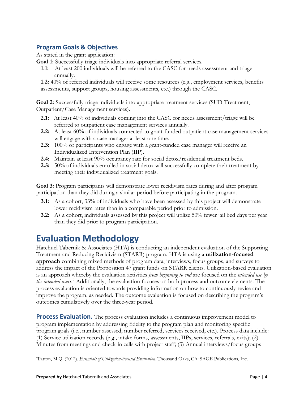# **Program Goals & Objectives**

As stated in the grant application:

**Goal 1:** Successfully triage individuals into appropriate referral services.

**1.1:** At least 200 individuals will be referred to the CASC for needs assessment and triage annually.

**1.2:** 40% of referred individuals will receive some resources (e.g., employment services, benefits assessments, support groups, housing assessments, etc.) through the CASC.

**Goal 2:** Successfully triage individuals into appropriate treatment services (SUD Treatment, Outpatient/Case Management services).

- **2.1:** At least 40% of individuals coming into the CASC for needs assessment/triage will be referred to outpatient case management services annually.
- **2.2:** At least 60% of individuals connected to grant-funded outpatient case management services will engage with a case manager at least one time.
- **2.3:** 100% of participants who engage with a grant-funded case manager will receive an Individualized Intervention Plan (IIP).
- **2.4:** Maintain at least 90% occupancy rate for social detox/residential treatment beds.
- **2.5:** 50% of individuals enrolled in social detox will successfully complete their treatment by meeting their individualized treatment goals.

**Goal 3:** Program participants will demonstrate lower recidivism rates during and after program participation than they did during a similar period before participating in the program.

- **3.1:** As a cohort, 33% of individuals who have been assessed by this project will demonstrate lower recidivism rates than in a comparable period prior to admission.
- **3.2:** As a cohort, individuals assessed by this project will utilize 50% fewer jail bed days per year than they did prior to program participation.

# **Evaluation Methodology**

Hatchuel Tabernik & Associates (HTA) is conducting an independent evaluation of the Supporting Treatment and Reducing Recidivism (STARR) program. HTA is using a **utilization-focused approach** combining mixed methods of program data, interviews, focus groups, and surveys to address the impact of the Proposition 47 grant funds on STARR clients. Utilization-based evaluation is an approach whereby the evaluation activities *from beginning to end* are focused on the *intended use by the intended users*. [2](#page-10-0) Additionally, the evaluation focuses on both process and outcome elements. The process evaluation is oriented towards providing information on how to continuously revise and improve the program, as needed. The outcome evaluation is focused on describing the program's outcomes cumulatively over the three-year period.

**Process Evaluation.** The process evaluation includes a continuous improvement model to program implementation by addressing fidelity to the program plan and monitoring specific program goals (i.e., number assessed, number referred, services received, etc.). Process data include: (1) Service utilization records (e.g., intake forms, assessments, IIPs, services, referrals, exits); (2) Minutes from meetings and check-in calls with project staff; (3) Annual interviews/focus groups

<span id="page-10-0"></span><sup>2</sup>Patton, M.Q. (2012). *Essentials of Utilization-Focused Evaluation*. Thousand Oaks, CA: SAGE Publications, Inc.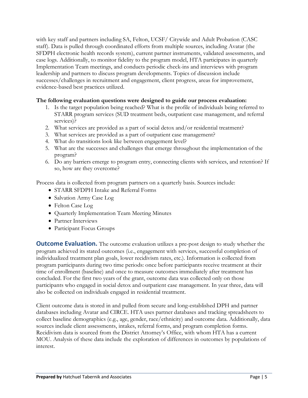with key staff and partners including SA, Felton, UCSF/ Citywide and Adult Probation (CASC staff). Data is pulled through coordinated efforts from multiple sources, including Avatar (the SFDPH electronic health records system), current partner instruments, validated assessments, and case logs. Additionally, to monitor fidelity to the program model, HTA participates in quarterly Implementation Team meetings, and conducts periodic check-ins and interviews with program leadership and partners to discuss program developments. Topics of discussion include successes/challenges in recruitment and engagement, client progress, areas for improvement, evidence-based best practices utilized.

#### **The following evaluation questions were designed to guide our process evaluation:**

- 1. Is the target population being reached? What is the profile of individuals being referred to STARR program services (SUD treatment beds, outpatient case management, and referral services)?
- 2. What services are provided as a part of social detox and/or residential treatment?
- 3. What services are provided as a part of outpatient case management?
- 4. What do transitions look like between engagement level?
- 5. What are the successes and challenges that emerge throughout the implementation of the program?
- 6. Do any barriers emerge to program entry, connecting clients with services, and retention? If so, how are they overcome?

Process data is collected from program partners on a quarterly basis. Sources include:

- STARR SFDPH Intake and Referral Forms
- Salvation Army Case Log
- Felton Case Log
- Quarterly Implementation Team Meeting Minutes
- Partner Interviews
- Participant Focus Groups

**Outcome Evaluation.** The outcome evaluation utilizes a pre-post design to study whether the program achieved its stated outcomes (i.e., engagement with services, successful completion of individualized treatment plan goals, lower recidivism rates, etc.). Information is collected from program participants during two time periods: once before participants receive treatment at their time of enrollment (baseline) and once to measure outcomes immediately after treatment has concluded. For the first two years of the grant, outcome data was collected only on those participants who engaged in social detox and outpatient case management. In year three, data will also be collected on individuals engaged in residential treatment.

Client outcome data is stored in and pulled from secure and long-established DPH and partner databases including Avatar and CIRCE. HTA uses partner databases and tracking spreadsheets to collect baseline demographics (e.g., age, gender, race/ethnicity) and outcome data. Additionally, data sources include client assessments, intakes, referral forms, and program completion forms. Recidivism data is sourced from the District Attorney's Office, with whom HTA has a current MOU. Analysis of these data include the exploration of differences in outcomes by populations of interest.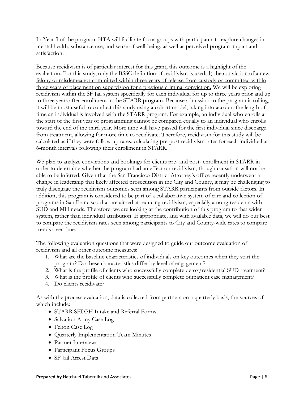In Year 3 of the program, HTA will facilitate focus groups with participants to explore changes in mental health, substance use, and sense of well-being, as well as perceived program impact and satisfaction.

Because recidivism is of particular interest for this grant, this outcome is a highlight of the evaluation. For this study, only the BSSC definition of recidivism is used: 1) the conviction of a new felony or misdemeanor committed within three years of release from custody or committed within three years of placement on supervision for a previous criminal conviction. We will be exploring recidivism within the SF Jail system specifically for each individual for up to three years prior and up to three years after enrollment in the STARR program. Because admission to the program is rolling, it will be most useful to conduct this study using a cohort model, taking into account the length of time an individual is involved with the STARR program. For example, an individual who enrolls at the start of the first year of programming cannot be compared equally to an individual who enrolls toward the end of the third year. More time will have passed for the first individual since discharge from treatment, allowing for more time to recidivate. Therefore, recidivism for this study will be calculated as if they were follow-up rates, calculating pre-post recidivism rates for each individual at 6-month intervals following their enrollment in STARR.

We plan to analyze convictions and bookings for clients pre- and post- enrollment in STARR in order to determine whether the program had an effect on recidivism, though causation will not be able to be inferred. Given that the San Francisco District Attorney's office recently underwent a change in leadership that likely affected prosecution in the City and County, it may be challenging to truly disengage the recidivism outcomes seen among STARR participants from outside factors. In addition, this program is considered to be part of a collaborative system of care and collection of programs in San Francisco that are aimed at reducing recidivism, especially among residents with SUD and MH needs. Therefore, we are looking at the contribution of this program to that wider system, rather than individual attribution. If appropriate, and with available data, we will do our best to compare the recidivism rates seen among participants to City and County-wide rates to compare trends over time.

The following evaluation questions that were designed to guide our outcome evaluation of recidivism and all other outcome measures:

- 1. What are the baseline characteristics of individuals on key outcomes when they start the program? Do these characteristics differ by level of engagement?
- 2. What is the profile of clients who successfully complete detox/residential SUD treatment?
- 3. What is the profile of clients who successfully complete outpatient case management?
- 4. Do clients recidivate?

As with the process evaluation, data is collected from partners on a quarterly basis, the sources of which include:

- STARR SFDPH Intake and Referral Forms
- Salvation Army Case Log
- Felton Case Log
- Quarterly Implementation Team Minutes
- Partner Interviews
- Participant Focus Groups
- SF Jail Arrest Data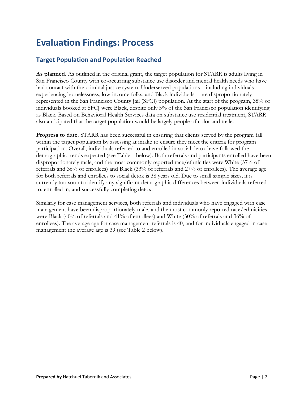# **Evaluation Findings: Process**

# **Target Population and Population Reached**

**As planned.** As outlined in the original grant, the target population for STARR is adults living in San Francisco County with co-occurring substance use disorder and mental health needs who have had contact with the criminal justice system. Underserved populations—including individuals experiencing homelessness, low-income folks, and Black individuals—are disproportionately represented in the San Francisco County Jail (SFCJ) population. At the start of the program, 38% of individuals booked at SFCJ were Black, despite only 5% of the San Francisco population identifying as Black. Based on Behavioral Health Services data on substance use residential treatment, STARR also anticipated that the target population would be largely people of color and male.

**Progress to date.** STARR has been successful in ensuring that clients served by the program fall within the target population by assessing at intake to ensure they meet the criteria for program participation. Overall, individuals referred to and enrolled in social detox have followed the demographic trends expected (see Table 1 below). Both referrals and participants enrolled have been disproportionately male, and the most commonly reported race/ethnicities were White (37% of referrals and 36% of enrollees) and Black (33% of referrals and 27% of enrollees). The average age for both referrals and enrollees to social detox is 38 years old. Due to small sample sizes, it is currently too soon to identify any significant demographic differences between individuals referred to, enrolled in, and successfully completing detox.

Similarly for case management services, both referrals and individuals who have engaged with case management have been disproportionately male, and the most commonly reported race/ethnicities were Black (40% of referrals and 41% of enrollees) and White (30% of referrals and 36% of enrollees). The average age for case management referrals is 40, and for individuals engaged in case management the average age is 39 (see Table 2 below).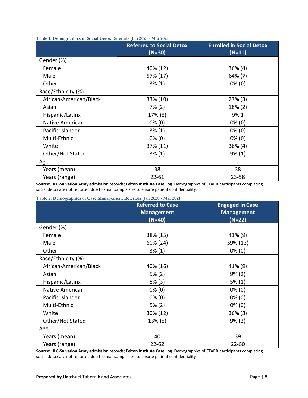| $\bullet$              | ,,<br><b>Referred to Social Detox</b><br>$(N=30)$ | <b>Enrolled in Social Detox</b><br>$(N=11)$ |
|------------------------|---------------------------------------------------|---------------------------------------------|
| Gender (%)             |                                                   |                                             |
| Female                 | 40% (12)                                          | 36% (4)                                     |
| Male                   | 57% (17)                                          | 64% (7)                                     |
| Other                  | $3\%$ (1)                                         | $0\%$ (0)                                   |
| Race/Ethnicity (%)     |                                                   |                                             |
| African-American/Black | 33% (10)                                          | $27\%$ (3)                                  |
| Asian                  | $7\%$ (2)                                         | 18% (2)                                     |
| Hispanic/Latinx        | 17% (5)                                           | 9%1                                         |
| Native American        | $0\%$ (0)                                         | $0\%$ (0)                                   |
| Pacific Islander       | 3% (1)                                            | $0\%$ (0)                                   |
| Multi-Ethnic           | $0\%$ (0)                                         | $0\%$ (0)                                   |
| White                  | 37% (11)                                          | 36% (4)                                     |
| Other/Not Stated       | $3\%$ (1)                                         | $9\%$ (1)                                   |
| Age                    |                                                   |                                             |
| Years (mean)           | 38                                                | 38                                          |
| Years (range)          | $22 - 61$                                         | 23-58                                       |

**Table 1. Demographics of Social Detox Referrals, Jan 2020 - Mar 2021**

**Source: HLC-Salvation Army admission records; Felton Institute Case Log.** Demographics of STARR participants completing social detox are not reported due to small sample size to ensure patient confidentiality.

| $\frac{1}{2}$ and $\frac{1}{2}$ and $\frac{1}{2}$ and $\frac{1}{2}$ and $\frac{1}{2}$ and $\frac{1}{2}$ and $\frac{1}{2}$ and $\frac{1}{2}$ and $\frac{1}{2}$ | <b>Referred to Case</b><br><b>Management</b><br>$(N=40)$ | <b>Engaged in Case</b><br><b>Management</b><br>$(N=22)$ |
|---------------------------------------------------------------------------------------------------------------------------------------------------------------|----------------------------------------------------------|---------------------------------------------------------|
| Gender (%)                                                                                                                                                    |                                                          |                                                         |
| Female                                                                                                                                                        | 38% (15)                                                 | 41% (9)                                                 |
| Male                                                                                                                                                          | 60% (24)                                                 | 59% (13)                                                |
| Other                                                                                                                                                         | 3% (1)                                                   | $0\%$ (0)                                               |
| Race/Ethnicity (%)                                                                                                                                            |                                                          |                                                         |
| African-American/Black                                                                                                                                        | 40% (16)                                                 | 41% (9)                                                 |
| Asian                                                                                                                                                         | 5% (2)                                                   | 9% (2)                                                  |
| Hispanic/Latinx                                                                                                                                               | $8\%$ (3)                                                | $5\%$ (1)                                               |
| Native American                                                                                                                                               | $0\%$ (0)                                                | $0\%$ (0)                                               |
| Pacific Islander                                                                                                                                              | $0\%$ (0)                                                | $0\%$ (0)                                               |
| Multi-Ethnic                                                                                                                                                  | 5% (2)                                                   | $0\%$ (0)                                               |
| White                                                                                                                                                         | 30% (12)                                                 | 36% (8)                                                 |
| Other/Not Stated                                                                                                                                              | 13% (5)                                                  | $9\%$ (2)                                               |
| Age                                                                                                                                                           |                                                          |                                                         |
| Years (mean)                                                                                                                                                  | 40                                                       | 39                                                      |
| Years (range)                                                                                                                                                 | $22 - 62$                                                | $22 - 60$                                               |

**Source: HLC-Salvation Army admission records; Felton Institute Case Log.** Demographics of STARR participants completing social detox are not reported due to small sample size to ensure patient confidentiality.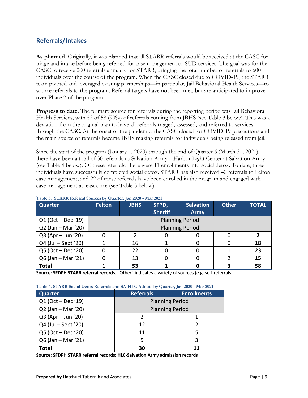# **Referrals/Intakes**

**As planned.** Originally, it was planned that all STARR referrals would be received at the CASC for triage and intake before being referred for case management or SUD services. The goal was for the CASC to receive 200 referrals annually for STARR, bringing the total number of referrals to 600 individuals over the course of the program. When the CASC closed due to COVID-19, the STARR team pivoted and leveraged existing partnerships—in particular, Jail Behavioral Health Services—to source referrals to the program. Referral targets have not been met, but are anticipated to improve over Phase 2 of the program.

**Progress to date.** The primary source for referrals during the reporting period was Jail Behavioral Health Services, with 52 of 58 (90%) of referrals coming from JBHS (see Table 3 below). This was a deviation from the original plan to have all referrals triaged, assessed, and referred to services through the CASC. At the onset of the pandemic, the CASC closed for COVID-19 precautions and the main source of referrals became JBHS making referrals for individuals being released from jail.

Since the start of the program (January 1, 2020) through the end of Quarter 6 (March 31, 2021), there have been a total of 30 referrals to Salvation Army – Harbor Light Center at Salvation Army (see Table 4 below). Of these referrals, there were 11 enrollments into social detox. To date, three individuals have successfully completed social detox. STARR has also received 40 referrals to Felton case management, and 22 of these referrals have been enrolled in the program and engaged with case management at least once (see Table 5 below).

| Quarter              | <b>Felton</b> | <b>JBHS</b>            | SFPD,                  | <b>Salvation</b> | <b>Other</b> | <b>TOTAL</b> |  |  |  |
|----------------------|---------------|------------------------|------------------------|------------------|--------------|--------------|--|--|--|
|                      |               |                        | <b>Sheriff</b>         | <b>Army</b>      |              |              |  |  |  |
| $Q1 (Oct - Dec '19)$ |               | <b>Planning Period</b> |                        |                  |              |              |  |  |  |
| $Q2$ (Jan – Mar '20) |               |                        | <b>Planning Period</b> |                  |              |              |  |  |  |
| Q3 (Apr - Jun '20)   |               |                        |                        |                  |              |              |  |  |  |
| Q4 (Jul - Sept '20)  |               | 16                     |                        |                  |              | 18           |  |  |  |
| Q5 (Oct - Dec '20)   |               | 22                     |                        |                  |              | 23           |  |  |  |
| Q6 (Jan - Mar '21)   |               | 13                     |                        |                  |              | 15           |  |  |  |
| <b>Total</b>         |               | 53                     |                        |                  |              | 58           |  |  |  |

#### **Table 3. STARR Referral Sources by Quarter, Jan 2020 - Mar 2021**

**Source: SFDPH STARR referral records.** "Other" indicates a variety of sources (e.g. self-referrals).

|  |  |  | Table 4. STARR Social Detox Referrals and SA-HLC Admits by Quarter, Jan 2020 - Mar 2021 |  |
|--|--|--|-----------------------------------------------------------------------------------------|--|
|  |  |  |                                                                                         |  |

| <b>Quarter</b>       | <b>Referrals</b><br><b>Enrollments</b> |                        |  |
|----------------------|----------------------------------------|------------------------|--|
| Q1 (Oct - Dec '19)   |                                        | <b>Planning Period</b> |  |
| $Q2$ (Jan – Mar '20) |                                        | <b>Planning Period</b> |  |
| $Q3 (Apr - Jun '20)$ |                                        |                        |  |
| Q4 (Jul - Sept '20)  | 12                                     |                        |  |
| Q5 (Oct - Dec '20)   | 11                                     |                        |  |
| Q6 (Jan - Mar '21)   | 5                                      | 3                      |  |
| Total                | 30<br>11                               |                        |  |

**Source: SFDPH STARR referral records; HLC-Salvation Army admission records**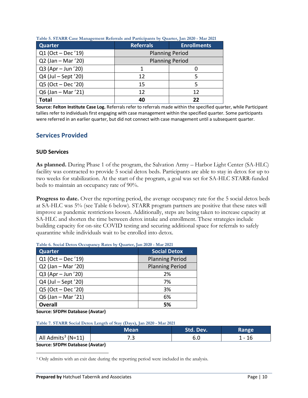| <b>Quarter</b>      | <b>Referrals</b>       | <b>Enrollments</b> |  |  |
|---------------------|------------------------|--------------------|--|--|
| Q1 (Oct - Dec '19)  | <b>Planning Period</b> |                    |  |  |
| Q2 (Jan - Mar '20)  | <b>Planning Period</b> |                    |  |  |
| Q3 (Apr - Jun '20)  |                        |                    |  |  |
| Q4 (Jul – Sept '20) | 12                     |                    |  |  |
| Q5 (Oct - Dec '20)  | 15                     |                    |  |  |
| Q6 (Jan - Mar '21)  | 12                     | 12                 |  |  |
| Total               | 40                     | フフ                 |  |  |

**Table 5. STARR Case Management Referrals and Participants by Quarter, Jan 2020 - Mar 2021**

**Source: Felton Institute Case Log.** Referrals refer to referrals made within the specified quarter, while Participant tallies refer to individuals first engaging with case management within the specified quarter. Some participants were referred in an earlier quarter, but did not connect with case management until a subsequent quarter.

#### **Services Provided**

#### **SUD Services**

**As planned.** During Phase 1 of the program, the Salvation Army – Harbor Light Center (SA-HLC) facility was contracted to provide 5 social detox beds. Participants are able to stay in detox for up to two weeks for stabilization. At the start of the program, a goal was set for SA-HLC STARR-funded beds to maintain an occupancy rate of 90%.

**Progress to date.** Over the reporting period, the average occupancy rate for the 5 social detox beds at SA-HLC was 5% (see Table 6 below). STARR program partners are positive that these rates will improve as pandemic restrictions loosen. Additionally, steps are being taken to increase capacity at SA-HLC and shorten the time between detox intake and enrollment. These strategies include building capacity for on-site COVID testing and securing additional space for referrals to safely quarantine while individuals wait to be enrolled into detox.

| <b>Quarter</b>       | <b>Social Detox</b>    |
|----------------------|------------------------|
| Q1 (Oct - Dec '19)   | <b>Planning Period</b> |
| Q2 (Jan - Mar '20)   | <b>Planning Period</b> |
| Q3 (Apr - Jun '20)   | 2%                     |
| Q4 (Jul - Sept '20)  | 7%                     |
| Q5 (Oct - Dec '20)   | 3%                     |
| $Q6$ (Jan – Mar '21) | 6%                     |
| <b>Overall</b>       | 5%                     |

**Table 6. Social Detox Occupancy Rates by Quarter, Jan 2020 - Mar 2021**

**Source: SFDPH Database (Avatar)**

#### **Table 7. STARR Social Detox Length of Stay (Days), Jan 2020 - Mar 2021**

|                                 | Mean. | Std. Dev. | Range |  |
|---------------------------------|-------|-----------|-------|--|
| All Admits $3$ (N=11)           |       |           | - 16  |  |
| Course: CEDDU Detabose (August) |       |           |       |  |

**Source: SFDPH Database (Avatar)**

<span id="page-16-0"></span><sup>&</sup>lt;sup>3</sup> Only admits with an exit date during the reporting period were included in the analysis.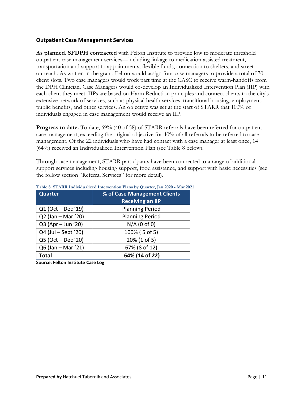#### **Outpatient Case Management Services**

**As planned. SFDPH contracted** with Felton Institute to provide low to moderate threshold outpatient case management services—including linkage to medication assisted treatment, transportation and support to appointments, flexible funds, connection to shelters, and street outreach. As written in the grant, Felton would assign four case managers to provide a total of 70 client slots. Two case managers would work part time at the CASC to receive warm-handoffs from the DPH Clinician. Case Managers would co-develop an Individualized Intervention Plan (IIP) with each client they meet. IIPs are based on Harm Reduction principles and connect clients to the city's extensive network of services, such as physical health services, transitional housing, employment, public benefits, and other services. An objective was set at the start of STARR that 100% of individuals engaged in case management would receive an IIP.

**Progress to date.** To date, 69% (40 of 58) of STARR referrals have been referred for outpatient case management, exceeding the original objective for 40% of all referrals to be referred to case management. Of the 22 individuals who have had contact with a case manager at least once, 14 (64%) received an Individualized Intervention Plan (see Table 8 below).

Through case management, STARR participants have been connected to a range of additional support services including housing support, food assistance, and support with basic necessities (see the follow section "Referral Services" for more detail).

| Quarter             | % of Case Management Clients<br><b>Receiving an IIP</b> |
|---------------------|---------------------------------------------------------|
| Q1 (Oct - Dec '19)  | <b>Planning Period</b>                                  |
| Q2 (Jan - Mar '20)  | <b>Planning Period</b>                                  |
| Q3 (Apr - Jun '20)  | $N/A$ (0 of 0)                                          |
| Q4 (Jul - Sept '20) | 100% (5 of 5)                                           |
| Q5 (Oct - Dec '20)  | 20% (1 of 5)                                            |
| Q6 (Jan - Mar '21)  | 67% (8 of 12)                                           |
| <b>Total</b>        | 64% (14 of 22)                                          |

#### **Table 8. STARR Individualized Intervention Plans by Quarter, Jan 2020 - Mar 2021**

**Source: Felton Institute Case Log**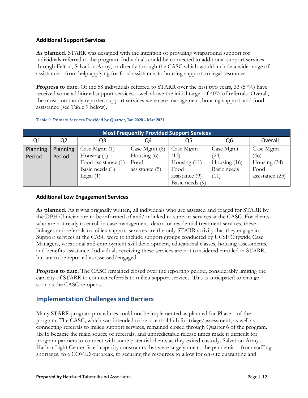#### **Additional Support Services**

**As planned.** STARR was designed with the intention of providing wraparound support for individuals referred to the program. Individuals could be connected to additional support services through Felton, Salvation Army, or directly through the CASC which would include a wide range of assistance—from help applying for food assistance, to housing support, to legal resources.

**Progress to date.** Of the 58 individuals referred to STARR over the first two years, 33 (57%) have received some additional support services—well above the initial target of 40% of referrals. Overall, the most commonly reported support services were case management, housing support, and food assistance (see Table 9 below).

| <b>Most Frequently Provided Support Services</b> |                 |                     |                  |                  |                |                 |  |  |
|--------------------------------------------------|-----------------|---------------------|------------------|------------------|----------------|-----------------|--|--|
| Q1                                               | Q <sub>2</sub>  | Q3                  | Q4               | Q5               | Q6             | Overall         |  |  |
| <b>Planning</b>                                  | <b>Planning</b> | Case Mgmt $(1)$     | Case Mgmt (8)    | Case Mgmt        | Case Mgmt      | Case Mgmt       |  |  |
| Period                                           | Period          | Housing $(1)$       | Housing $(6)$    | (13)             | (24)           | (46)            |  |  |
|                                                  |                 | Food assistance (1) | Food             | Housing $(11)$   | Housing $(16)$ | Housing $(34)$  |  |  |
|                                                  |                 | Basic needs (1)     | assistance $(5)$ | Food             | Basic needs    | Food            |  |  |
|                                                  |                 | Legal $(1)$         |                  | assistance $(9)$ | (11)           | assistance (25) |  |  |
|                                                  |                 |                     |                  | Basic needs (9)  |                |                 |  |  |

#### **Table 9. Primary Services Provided by Quarter, Jan 2020 - Mar 2021**

#### **Additional Low Engagement Services**

**As planned.** As it was originally written**,** all individuals who are assessed and triaged for STARR by the DPH Clinician are to be informed of and/or linked to support services at the CASC. For clients who are not ready to enroll in case management, detox, or residential treatment services, these linkages and referrals to milieu support services are the only STARR activity that they engage in. Support services at the CASC were to include support groups conducted by UCSF Citywide Case Managers, vocational and employment skill development, educational classes, housing assessments, and benefits assistance. Individuals receiving these services are not considered enrolled in STARR, but are to be reported as assessed/engaged.

**Progress to date.** The CASC remained closed over the reporting period, considerably limiting the capacity of STARR to connect referrals to milieu support services. This is anticipated to change soon as the CASC re-opens.

## **Implementation Challenges and Barriers**

Many STARR program procedures could not be implemented as planned for Phase 1 of the program. The CASC, which was intended to be a central hub for triage/assessment, as well as connecting referrals to milieu support services, remained closed through Quarter 6 of the program. JBHS became the main source of referrals, and unpredictable release times made it difficult for program partners to connect with some potential clients as they exited custody. Salvation Army – Harbor Light Center faced capacity constraints that were largely due to the pandemic—from staffing shortages, to a COVID outbreak, to securing the resources to allow for on-site quarantine and